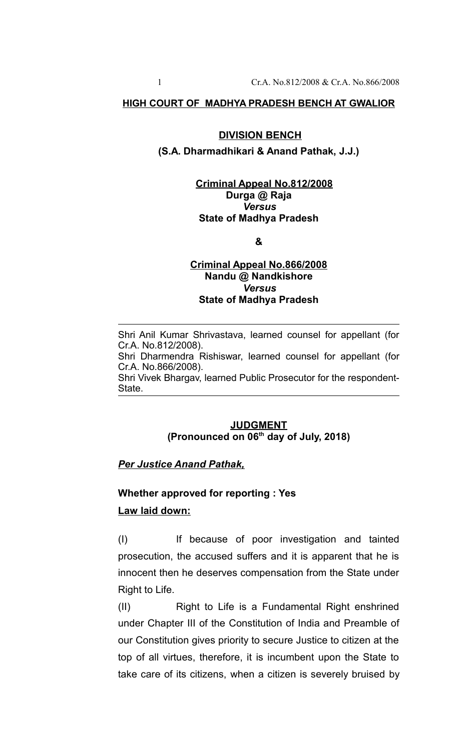#### **HIGH COURT OF MADHYA PRADESH BENCH AT GWALIOR**

#### **DIVISION BENCH**

#### **(S.A. Dharmadhikari & Anand Pathak, J.J.)**

### **Criminal Appeal No.812/2008 Durga @ Raja** *Versus* **State of Madhya Pradesh**

**&**

#### **Criminal Appeal No.866/2008 Nandu @ Nandkishore** *Versus* **State of Madhya Pradesh**

Shri Anil Kumar Shrivastava, learned counsel for appellant (for Cr.A. No.812/2008).

Shri Dharmendra Rishiswar, learned counsel for appellant (for Cr.A. No.866/2008).

Shri Vivek Bhargav, learned Public Prosecutor for the respondent-State.

## **JUDGMENT (Pronounced on 06th day of July, 2018)**

#### *Per Justice Anand Pathak,*

# **Whether approved for reporting : Yes Law laid down:**

(I) If because of poor investigation and tainted prosecution, the accused suffers and it is apparent that he is innocent then he deserves compensation from the State under Right to Life.

(II) Right to Life is a Fundamental Right enshrined under Chapter III of the Constitution of India and Preamble of our Constitution gives priority to secure Justice to citizen at the top of all virtues, therefore, it is incumbent upon the State to take care of its citizens, when a citizen is severely bruised by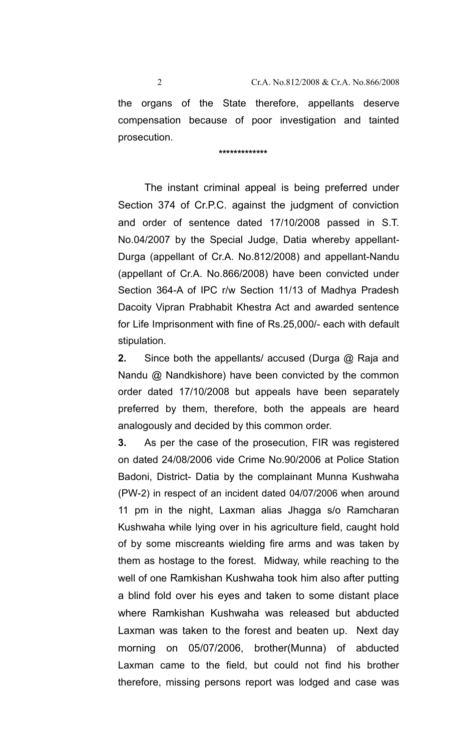the organs of the State therefore, appellants deserve compensation because of poor investigation and tainted prosecution.

 **\*\*\*\*\*\*\*\*\*\*\*\*\***

The instant criminal appeal is being preferred under Section 374 of Cr.P.C. against the judgment of conviction and order of sentence dated 17/10/2008 passed in S.T. No.04/2007 by the Special Judge, Datia whereby appellant-Durga (appellant of Cr.A. No.812/2008) and appellant-Nandu (appellant of Cr.A. No.866/2008) have been convicted under Section 364-A of IPC r/w Section 11/13 of Madhya Pradesh Dacoity Vipran Prabhabit Khestra Act and awarded sentence for Life Imprisonment with fine of Rs.25,000/- each with default stipulation.

**2.** Since both the appellants/ accused (Durga @ Raja and Nandu @ Nandkishore) have been convicted by the common order dated 17/10/2008 but appeals have been separately preferred by them, therefore, both the appeals are heard analogously and decided by this common order.

**3.** As per the case of the prosecution, FIR was registered on dated 24/08/2006 vide Crime No.90/2006 at Police Station Badoni, District- Datia by the complainant Munna Kushwaha (PW-2) in respect of an incident dated 04/07/2006 when around 11 pm in the night, Laxman alias Jhagga s/o Ramcharan Kushwaha while lying over in his agriculture field, caught hold of by some miscreants wielding fire arms and was taken by them as hostage to the forest. Midway, while reaching to the well of one Ramkishan Kushwaha took him also after putting a blind fold over his eyes and taken to some distant place where Ramkishan Kushwaha was released but abducted Laxman was taken to the forest and beaten up. Next day morning on 05/07/2006, brother(Munna) of abducted Laxman came to the field, but could not find his brother therefore, missing persons report was lodged and case was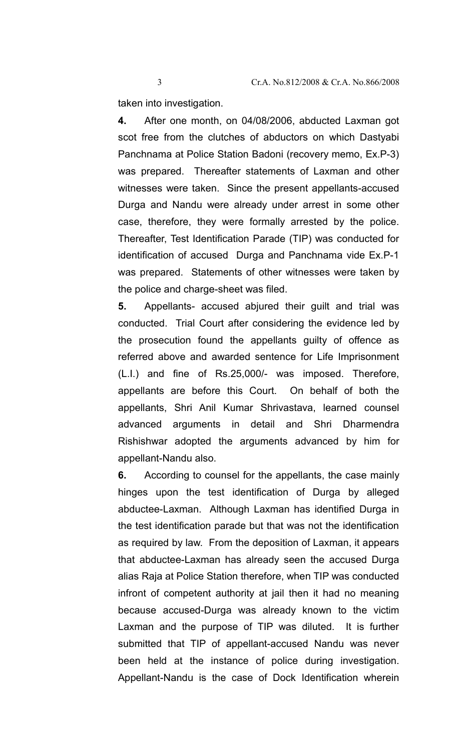taken into investigation.

**4.** After one month, on 04/08/2006, abducted Laxman got scot free from the clutches of abductors on which Dastyabi Panchnama at Police Station Badoni (recovery memo, Ex.P-3) was prepared. Thereafter statements of Laxman and other witnesses were taken. Since the present appellants-accused Durga and Nandu were already under arrest in some other case, therefore, they were formally arrested by the police. Thereafter, Test Identification Parade (TIP) was conducted for identification of accused Durga and Panchnama vide Ex.P-1 was prepared. Statements of other witnesses were taken by the police and charge-sheet was filed.

**5.** Appellants- accused abjured their guilt and trial was conducted. Trial Court after considering the evidence led by the prosecution found the appellants guilty of offence as referred above and awarded sentence for Life Imprisonment (L.I.) and fine of Rs.25,000/- was imposed. Therefore, appellants are before this Court. On behalf of both the appellants, Shri Anil Kumar Shrivastava, learned counsel advanced arguments in detail and Shri Dharmendra Rishishwar adopted the arguments advanced by him for appellant-Nandu also.

**6.** According to counsel for the appellants, the case mainly hinges upon the test identification of Durga by alleged abductee-Laxman. Although Laxman has identified Durga in the test identification parade but that was not the identification as required by law. From the deposition of Laxman, it appears that abductee-Laxman has already seen the accused Durga alias Raja at Police Station therefore, when TIP was conducted infront of competent authority at jail then it had no meaning because accused-Durga was already known to the victim Laxman and the purpose of TIP was diluted. It is further submitted that TIP of appellant-accused Nandu was never been held at the instance of police during investigation. Appellant-Nandu is the case of Dock Identification wherein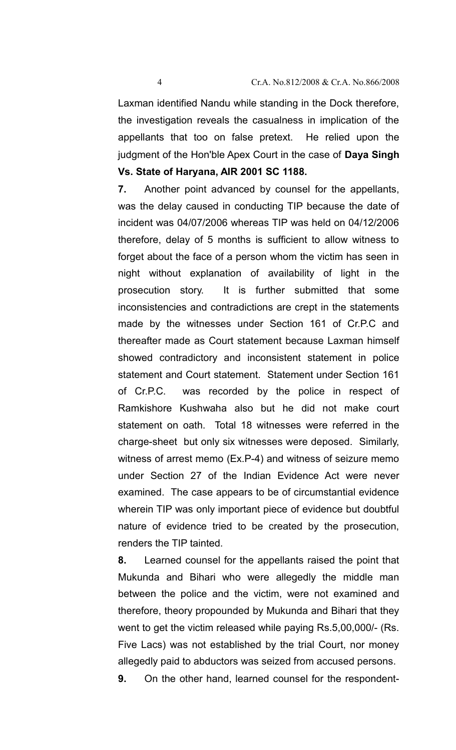Laxman identified Nandu while standing in the Dock therefore, the investigation reveals the casualness in implication of the appellants that too on false pretext. He relied upon the judgment of the Hon'ble Apex Court in the case of **Daya Singh Vs. State of Haryana, AIR 2001 SC 1188.**

**7.** Another point advanced by counsel for the appellants, was the delay caused in conducting TIP because the date of incident was 04/07/2006 whereas TIP was held on 04/12/2006 therefore, delay of 5 months is sufficient to allow witness to forget about the face of a person whom the victim has seen in night without explanation of availability of light in the prosecution story. It is further submitted that some inconsistencies and contradictions are crept in the statements made by the witnesses under Section 161 of Cr.P.C and thereafter made as Court statement because Laxman himself showed contradictory and inconsistent statement in police statement and Court statement. Statement under Section 161 of Cr.P.C. was recorded by the police in respect of Ramkishore Kushwaha also but he did not make court statement on oath. Total 18 witnesses were referred in the charge-sheet but only six witnesses were deposed. Similarly, witness of arrest memo (Ex.P-4) and witness of seizure memo under Section 27 of the Indian Evidence Act were never examined. The case appears to be of circumstantial evidence wherein TIP was only important piece of evidence but doubtful nature of evidence tried to be created by the prosecution, renders the TIP tainted.

**8.** Learned counsel for the appellants raised the point that Mukunda and Bihari who were allegedly the middle man between the police and the victim, were not examined and therefore, theory propounded by Mukunda and Bihari that they went to get the victim released while paying Rs.5,00,000/- (Rs. Five Lacs) was not established by the trial Court, nor money allegedly paid to abductors was seized from accused persons.

**9.** On the other hand, learned counsel for the respondent-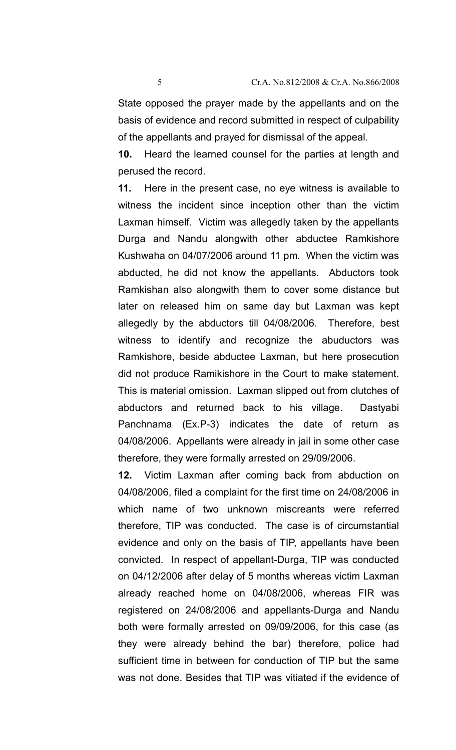basis of evidence and record submitted in respect of culpability of the appellants and prayed for dismissal of the appeal.

**10.** Heard the learned counsel for the parties at length and perused the record.

**11.** Here in the present case, no eye witness is available to witness the incident since inception other than the victim Laxman himself. Victim was allegedly taken by the appellants Durga and Nandu alongwith other abductee Ramkishore Kushwaha on 04/07/2006 around 11 pm. When the victim was abducted, he did not know the appellants. Abductors took Ramkishan also alongwith them to cover some distance but later on released him on same day but Laxman was kept allegedly by the abductors till 04/08/2006. Therefore, best witness to identify and recognize the abuductors was Ramkishore, beside abductee Laxman, but here prosecution did not produce Ramikishore in the Court to make statement. This is material omission. Laxman slipped out from clutches of abductors and returned back to his village. Dastyabi Panchnama (Ex.P-3) indicates the date of return as 04/08/2006. Appellants were already in jail in some other case therefore, they were formally arrested on 29/09/2006.

**12.** Victim Laxman after coming back from abduction on 04/08/2006, filed a complaint for the first time on 24/08/2006 in which name of two unknown miscreants were referred therefore, TIP was conducted. The case is of circumstantial evidence and only on the basis of TIP, appellants have been convicted. In respect of appellant-Durga, TIP was conducted on 04/12/2006 after delay of 5 months whereas victim Laxman already reached home on 04/08/2006, whereas FIR was registered on 24/08/2006 and appellants-Durga and Nandu both were formally arrested on 09/09/2006, for this case (as they were already behind the bar) therefore, police had sufficient time in between for conduction of TIP but the same was not done. Besides that TIP was vitiated if the evidence of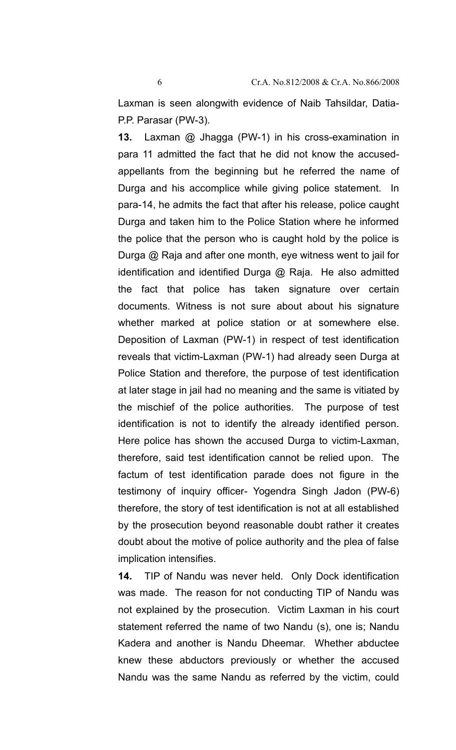Laxman is seen alongwith evidence of Naib Tahsildar, Datia-P.P. Parasar (PW-3).

**13.** Laxman @ Jhagga (PW-1) in his cross-examination in para 11 admitted the fact that he did not know the accusedappellants from the beginning but he referred the name of Durga and his accomplice while giving police statement. In para-14, he admits the fact that after his release, police caught Durga and taken him to the Police Station where he informed the police that the person who is caught hold by the police is Durga @ Raja and after one month, eye witness went to jail for identification and identified Durga  $@$  Raja. He also admitted the fact that police has taken signature over certain documents. Witness is not sure about about his signature whether marked at police station or at somewhere else. Deposition of Laxman (PW-1) in respect of test identification reveals that victim-Laxman (PW-1) had already seen Durga at Police Station and therefore, the purpose of test identification at later stage in jail had no meaning and the same is vitiated by the mischief of the police authorities. The purpose of test identification is not to identify the already identified person. Here police has shown the accused Durga to victim-Laxman, therefore, said test identification cannot be relied upon. The factum of test identification parade does not figure in the testimony of inquiry officer- Yogendra Singh Jadon (PW-6) therefore, the story of test identification is not at all established by the prosecution beyond reasonable doubt rather it creates doubt about the motive of police authority and the plea of false implication intensifies.

**14.** TIP of Nandu was never held. Only Dock identification was made. The reason for not conducting TIP of Nandu was not explained by the prosecution. Victim Laxman in his court statement referred the name of two Nandu (s), one is; Nandu Kadera and another is Nandu Dheemar. Whether abductee knew these abductors previously or whether the accused Nandu was the same Nandu as referred by the victim, could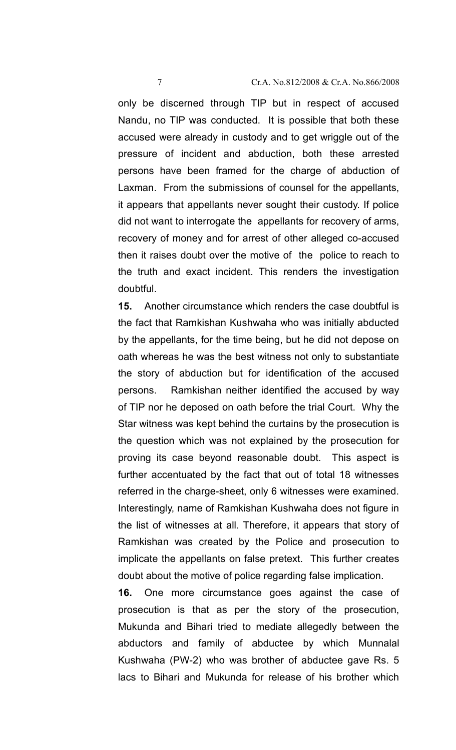only be discerned through TIP but in respect of accused Nandu, no TIP was conducted. It is possible that both these accused were already in custody and to get wriggle out of the pressure of incident and abduction, both these arrested persons have been framed for the charge of abduction of Laxman. From the submissions of counsel for the appellants, it appears that appellants never sought their custody. If police did not want to interrogate the appellants for recovery of arms, recovery of money and for arrest of other alleged co-accused then it raises doubt over the motive of the police to reach to the truth and exact incident. This renders the investigation doubtful.

**15.** Another circumstance which renders the case doubtful is the fact that Ramkishan Kushwaha who was initially abducted by the appellants, for the time being, but he did not depose on oath whereas he was the best witness not only to substantiate the story of abduction but for identification of the accused persons. Ramkishan neither identified the accused by way of TIP nor he deposed on oath before the trial Court. Why the Star witness was kept behind the curtains by the prosecution is the question which was not explained by the prosecution for proving its case beyond reasonable doubt. This aspect is further accentuated by the fact that out of total 18 witnesses referred in the charge-sheet, only 6 witnesses were examined. Interestingly, name of Ramkishan Kushwaha does not figure in the list of witnesses at all. Therefore, it appears that story of Ramkishan was created by the Police and prosecution to implicate the appellants on false pretext. This further creates doubt about the motive of police regarding false implication.

**16.** One more circumstance goes against the case of prosecution is that as per the story of the prosecution, Mukunda and Bihari tried to mediate allegedly between the abductors and family of abductee by which Munnalal Kushwaha (PW-2) who was brother of abductee gave Rs. 5 lacs to Bihari and Mukunda for release of his brother which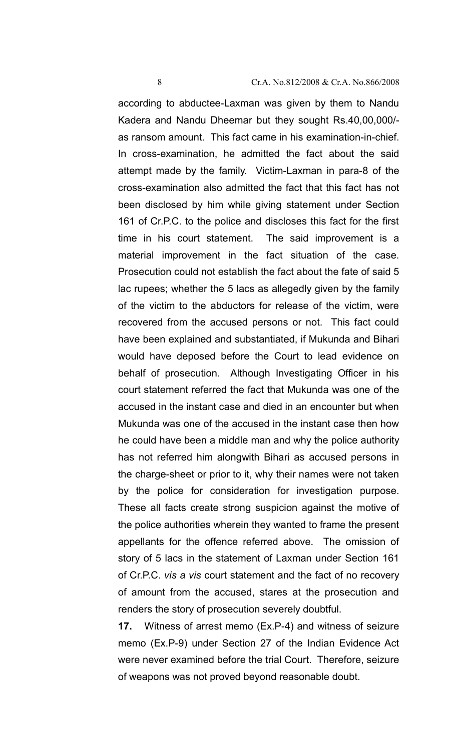according to abductee-Laxman was given by them to Nandu Kadera and Nandu Dheemar but they sought Rs.40,00,000/ as ransom amount. This fact came in his examination-in-chief. In cross-examination, he admitted the fact about the said attempt made by the family. Victim-Laxman in para-8 of the cross-examination also admitted the fact that this fact has not been disclosed by him while giving statement under Section 161 of Cr.P.C. to the police and discloses this fact for the first time in his court statement. The said improvement is a material improvement in the fact situation of the case. Prosecution could not establish the fact about the fate of said 5 lac rupees; whether the 5 lacs as allegedly given by the family of the victim to the abductors for release of the victim, were recovered from the accused persons or not. This fact could have been explained and substantiated, if Mukunda and Bihari would have deposed before the Court to lead evidence on behalf of prosecution. Although Investigating Officer in his court statement referred the fact that Mukunda was one of the accused in the instant case and died in an encounter but when Mukunda was one of the accused in the instant case then how he could have been a middle man and why the police authority has not referred him alongwith Bihari as accused persons in the charge-sheet or prior to it, why their names were not taken by the police for consideration for investigation purpose. These all facts create strong suspicion against the motive of the police authorities wherein they wanted to frame the present appellants for the offence referred above. The omission of story of 5 lacs in the statement of Laxman under Section 161 of Cr.P.C. *vis a vis* court statement and the fact of no recovery of amount from the accused, stares at the prosecution and renders the story of prosecution severely doubtful.

**17.** Witness of arrest memo (Ex.P-4) and witness of seizure memo (Ex.P-9) under Section 27 of the Indian Evidence Act were never examined before the trial Court. Therefore, seizure of weapons was not proved beyond reasonable doubt.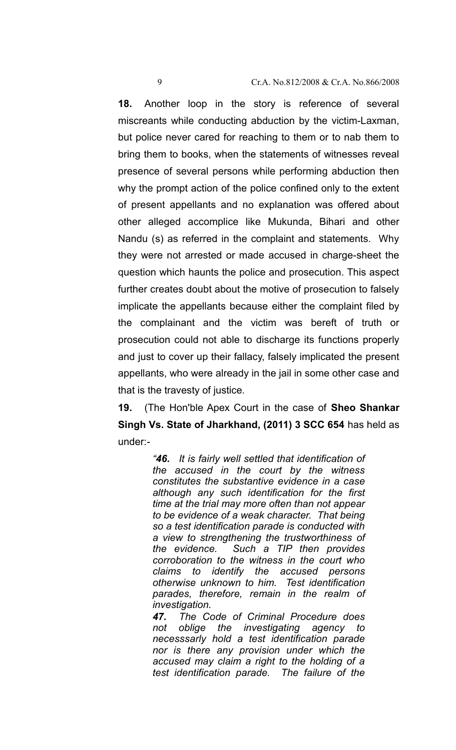**18.** Another loop in the story is reference of several miscreants while conducting abduction by the victim-Laxman, but police never cared for reaching to them or to nab them to bring them to books, when the statements of witnesses reveal presence of several persons while performing abduction then why the prompt action of the police confined only to the extent of present appellants and no explanation was offered about other alleged accomplice like Mukunda, Bihari and other Nandu (s) as referred in the complaint and statements. Why they were not arrested or made accused in charge-sheet the question which haunts the police and prosecution. This aspect further creates doubt about the motive of prosecution to falsely implicate the appellants because either the complaint filed by the complainant and the victim was bereft of truth or prosecution could not able to discharge its functions properly and just to cover up their fallacy, falsely implicated the present appellants, who were already in the jail in some other case and that is the travesty of justice.

**19.** (The Hon'ble Apex Court in the case of **Sheo Shankar Singh Vs. State of Jharkhand, (2011) 3 SCC 654** has held as under:-

> *"46. It is fairly well settled that identification of the accused in the court by the witness constitutes the substantive evidence in a case although any such identification for the first time at the trial may more often than not appear to be evidence of a weak character. That being so a test identification parade is conducted with a view to strengthening the trustworthiness of the evidence. Such a TIP then provides corroboration to the witness in the court who claims to identify the accused persons otherwise unknown to him. Test identification parades, therefore, remain in the realm of investigation.*

> *47. The Code of Criminal Procedure does not oblige the investigating agency to necesssarly hold a test identification parade nor is there any provision under which the accused may claim a right to the holding of a test identification parade. The failure of the*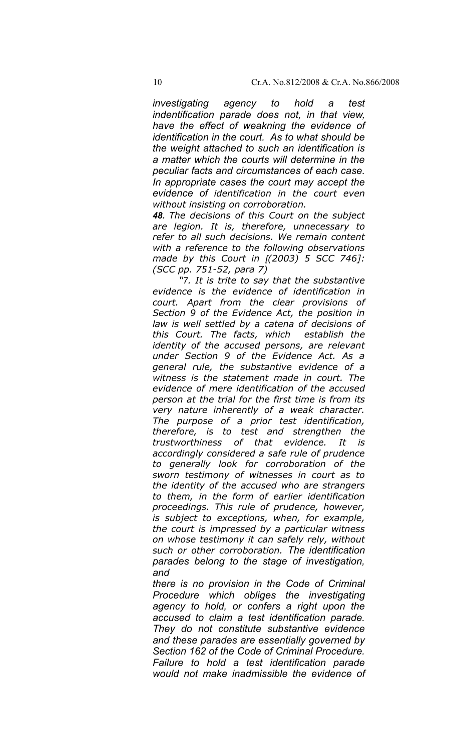*investigating agency to hold a test indentification parade does not, in that view, have the effect of weakning the evidence of identification in the court. As to what should be the weight attached to such an identification is a matter which the courts will determine in the peculiar facts and circumstances of each case. In appropriate cases the court may accept the evidence of identification in the court even without insisting on corroboration.*

*48. The decisions of this Court on the subject are legion. It is, therefore, unnecessary to refer to all such decisions. We remain content with a reference to the following observations made by this Court in [(2003) 5 SCC 746]: (SCC pp. 751-52, para 7)*

*"7. It is trite to say that the substantive evidence is the evidence of identification in court. Apart from the clear provisions of Section 9 of the Evidence Act, the position in law is well settled by a catena of decisions of this Court. The facts, which establish the identity of the accused persons, are relevant under Section 9 of the Evidence Act. As a general rule, the substantive evidence of a witness is the statement made in court. The evidence of mere identification of the accused person at the trial for the first time is from its very nature inherently of a weak character. The purpose of a prior test identification, therefore, is to test and strengthen the trustworthiness of that evidence. It is accordingly considered a safe rule of prudence to generally look for corroboration of the sworn testimony of witnesses in court as to the identity of the accused who are strangers to them, in the form of earlier identification proceedings. This rule of prudence, however, is subject to exceptions, when, for example, the court is impressed by a particular witness on whose testimony it can safely rely, without such or other corroboration. The identification parades belong to the stage of investigation, and*

*there is no provision in the Code of Criminal Procedure which obliges the investigating agency to hold, or confers a right upon the accused to claim a test identification parade. They do not constitute substantive evidence and these parades are essentially governed by Section 162 of the Code of Criminal Procedure. Failure to hold a test identification parade would not make inadmissible the evidence of*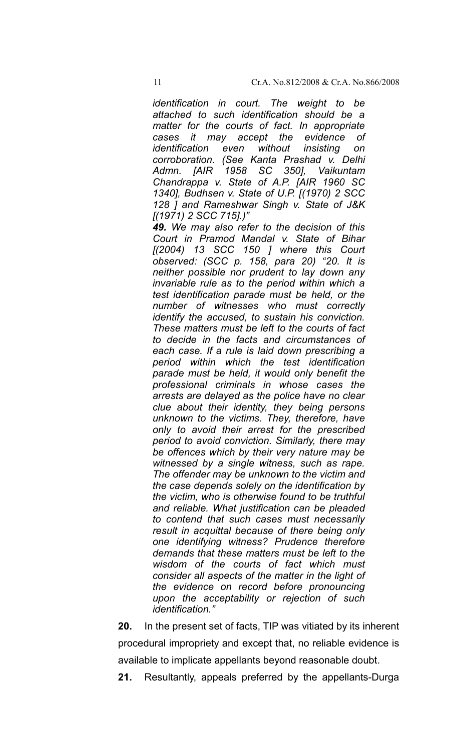*identification in court. The weight to be attached to such identification should be a matter for the courts of fact. In appropriate cases it may accept the evidence of identification even without insisting on corroboration. (See Kanta Prashad v. Delhi Admn. [AIR 1958 SC 350], Vaikuntam Chandrappa v. State of A.P. [AIR 1960 SC 1340], Budhsen v. State of U.P. [(1970) 2 SCC 128 ] and Rameshwar Singh v. State of J&K [(1971) 2 SCC 715].)"*

*49. We may also refer to the decision of this Court in Pramod Mandal v. State of Bihar [(2004) 13 SCC 150 ] where this Court observed: (SCC p. 158, para 20) "20. It is neither possible nor prudent to lay down any invariable rule as to the period within which a test identification parade must be held, or the number of witnesses who must correctly identify the accused, to sustain his conviction. These matters must be left to the courts of fact to decide in the facts and circumstances of each case. If a rule is laid down prescribing a period within which the test identification parade must be held, it would only benefit the professional criminals in whose cases the arrests are delayed as the police have no clear clue about their identity, they being persons unknown to the victims. They, therefore, have only to avoid their arrest for the prescribed period to avoid conviction. Similarly, there may be offences which by their very nature may be witnessed by a single witness, such as rape. The offender may be unknown to the victim and the case depends solely on the identification by the victim, who is otherwise found to be truthful and reliable. What justification can be pleaded to contend that such cases must necessarily result in acquittal because of there being only one identifying witness? Prudence therefore demands that these matters must be left to the wisdom of the courts of fact which must consider all aspects of the matter in the light of the evidence on record before pronouncing upon the acceptability or rejection of such identification."*

**20.** In the present set of facts, TIP was vitiated by its inherent procedural impropriety and except that, no reliable evidence is available to implicate appellants beyond reasonable doubt.

**21.** Resultantly, appeals preferred by the appellants-Durga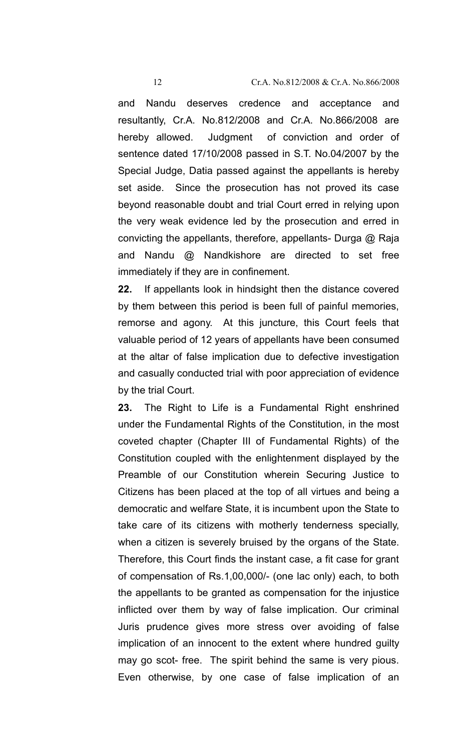and Nandu deserves credence and acceptance and resultantly, Cr.A. No.812/2008 and Cr.A. No.866/2008 are hereby allowed. Judgment of conviction and order of sentence dated 17/10/2008 passed in S.T. No.04/2007 by the Special Judge, Datia passed against the appellants is hereby set aside. Since the prosecution has not proved its case beyond reasonable doubt and trial Court erred in relying upon the very weak evidence led by the prosecution and erred in convicting the appellants, therefore, appellants- Durga @ Raja and Nandu @ Nandkishore are directed to set free immediately if they are in confinement.

**22.** If appellants look in hindsight then the distance covered by them between this period is been full of painful memories, remorse and agony. At this juncture, this Court feels that valuable period of 12 years of appellants have been consumed at the altar of false implication due to defective investigation and casually conducted trial with poor appreciation of evidence by the trial Court.

**23.** The Right to Life is a Fundamental Right enshrined under the Fundamental Rights of the Constitution, in the most coveted chapter (Chapter III of Fundamental Rights) of the Constitution coupled with the enlightenment displayed by the Preamble of our Constitution wherein Securing Justice to Citizens has been placed at the top of all virtues and being a democratic and welfare State, it is incumbent upon the State to take care of its citizens with motherly tenderness specially, when a citizen is severely bruised by the organs of the State. Therefore, this Court finds the instant case, a fit case for grant of compensation of Rs.1,00,000/- (one lac only) each, to both the appellants to be granted as compensation for the injustice inflicted over them by way of false implication. Our criminal Juris prudence gives more stress over avoiding of false implication of an innocent to the extent where hundred guilty may go scot- free. The spirit behind the same is very pious. Even otherwise, by one case of false implication of an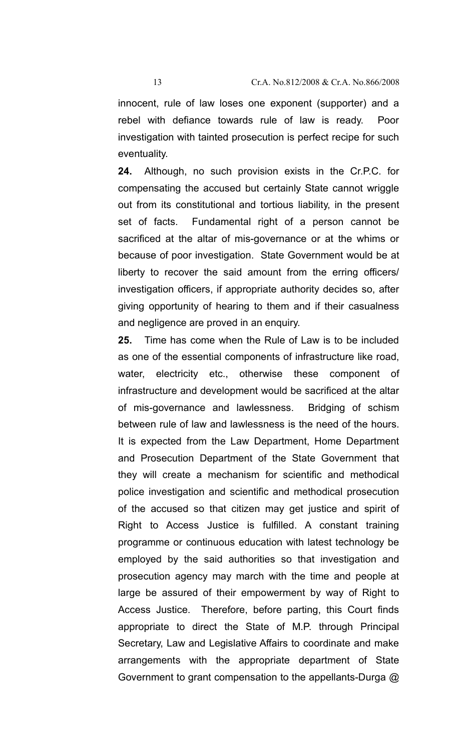innocent, rule of law loses one exponent (supporter) and a rebel with defiance towards rule of law is ready. Poor investigation with tainted prosecution is perfect recipe for such eventuality.

**24.** Although, no such provision exists in the Cr.P.C. for compensating the accused but certainly State cannot wriggle out from its constitutional and tortious liability, in the present set of facts. Fundamental right of a person cannot be sacrificed at the altar of mis-governance or at the whims or because of poor investigation. State Government would be at liberty to recover the said amount from the erring officers/ investigation officers, if appropriate authority decides so, after giving opportunity of hearing to them and if their casualness and negligence are proved in an enquiry.

**25.** Time has come when the Rule of Law is to be included as one of the essential components of infrastructure like road, water, electricity etc., otherwise these component of infrastructure and development would be sacrificed at the altar of mis-governance and lawlessness. Bridging of schism between rule of law and lawlessness is the need of the hours. It is expected from the Law Department, Home Department and Prosecution Department of the State Government that they will create a mechanism for scientific and methodical police investigation and scientific and methodical prosecution of the accused so that citizen may get justice and spirit of Right to Access Justice is fulfilled. A constant training programme or continuous education with latest technology be employed by the said authorities so that investigation and prosecution agency may march with the time and people at large be assured of their empowerment by way of Right to Access Justice. Therefore, before parting, this Court finds appropriate to direct the State of M.P. through Principal Secretary, Law and Legislative Affairs to coordinate and make arrangements with the appropriate department of State Government to grant compensation to the appellants-Durga @